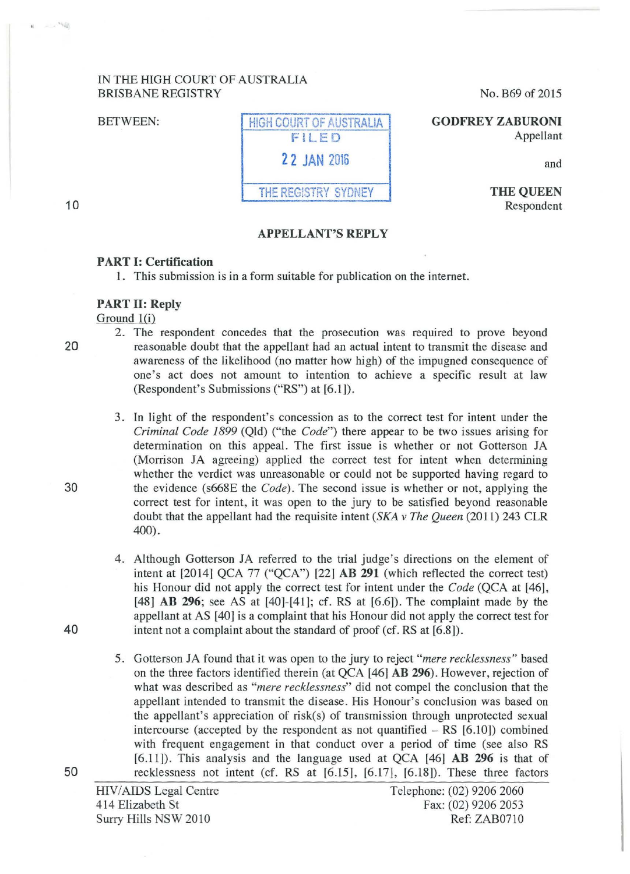### IN THE HIGH COURT OF AUSTRALIA BRISBANE REGISTRY

BETWEEN:

| HIGH COURT OF AUSTRALIA |
|-------------------------|
| FILED                   |
| 2 2 JAN 2016            |
| THE REGISTRY SYDNEY     |

No. B69 of 2015

**GODFREY ZABURONI**  Appellant

and

**THE QUEEN**  Respondent

# 10

-- 50

## **APPELLANT'S REPLY**

#### **PART 1: Certification**

1. This submission is in a form suitable for publication on the internet.

### **PART 11: Reply**

Ground 1(i)

- 2. The respondent concedes that the prosecution was required to prove beyond 20 reasonable doubt that the appellant had an actual intent to transmit the disease and awareness of the likelihood (no matter how high) of the impugned consequence of one's act does not amount to intention to achieve a specific result at law (Respondent's Submissions ("RS") at [6.1]).
- 3. In light of the respondent's concession as to the correct test for intent under the *Criminal Code 1899* (Qld) ("the *Code")* there appear to be two issues arising for determination on this appeal. The first issue is whether or not Gotterson JA (Morrison JA agreeing) applied the correct test for intent when determining whether the verdict was unreasonable or could not be supported having regard to 30 the evidence (s668E the *Code).* The second issue is whether or not, applying the correct test for intent, it was open to the jury to be satisfied beyond reasonable doubt that the appellant had the requisite intent *(SKA v The Queen* (2011) 243 CLR 400).
- 4. Although Gotterson JA referred to the trial judge's directions on the element of intent at [2014] QCA 77 ("QCA") [22] **AB 291** (which reflected the correct test) his Honour did not apply the correct test for intent under the *Code* (QCA at [46j, [48] **AB 296**; see AS at [40]-[41]; cf. RS at [6.6]). The complaint made by the appellant at AS [40] is a complaint that his Honour did not apply the correct test for 40 intent not a complaint about the standard of proof (cf. RS at [6.8]).
- 5. Gotterson JA found that it was open to the jury to reject *"mere recklessness"* based on the three factors identified therein (at QCA [461 **AB 296).** However, rejection of what was described as *"mere recklessness"* did not compel the conclusion that the appellant intended to transmit the disease . His Honour's conclusion was based on the appellant's appreciation of risk(s) of transmission through unprotected sexual intercourse (accepted by the respondent as not quantified  $-$  RS  $[6.10]$ ) combined with frequent engagement in that conduct over a period of time (see also RS [6.11]). This analysis and the language used at QCA [46] **AB 296** is that of 50 recklessness not intent (cf. RS at [6.15], [6.171, [6.181). These three factors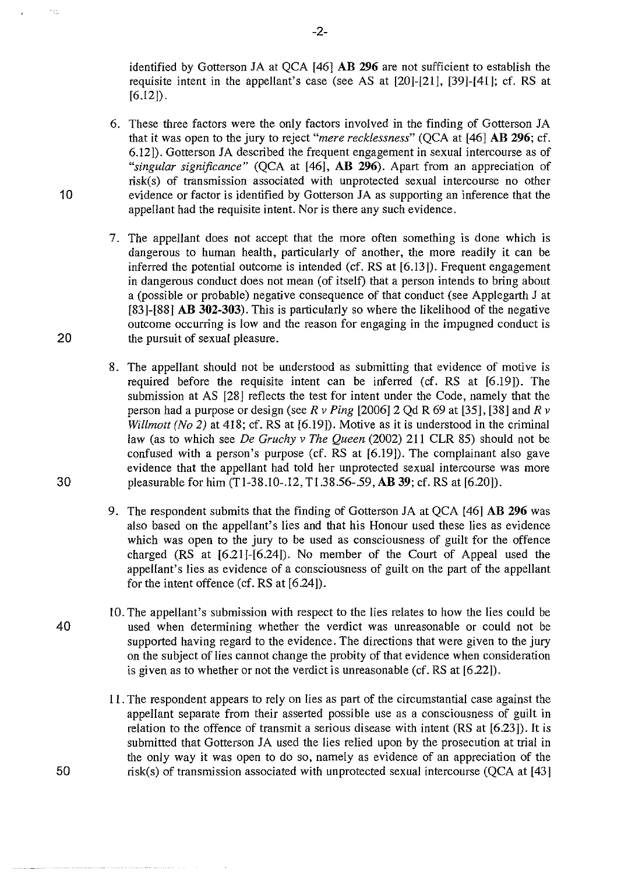identified by Gotterson JA at QCA [46] **AB 296** are not sufficient to establish the requisite intent in the appellant's case (see AS at [20]-[21], [39]-[41]; cf. RS at  $[6.12]$ .

- 6. These three factors were the only factors involved in the finding of Gotterson JA that it was open to the jury to reject *"mere recklessness"* (QCA at [46] **AB 296;** cf. 6.12]). Gotterson JA described the frequent engagement in sexual intercourse as of *"singular significance"* (QCA at [46], **AB 296).** Apart from an appreciation of risk(s) of transmission associated with unprotected sexual intercourse no other 10 evidence or factor is identified by Gotterson JA as supporting an inference that the appellant had the requisite intent. Nor is there any such evidence.
- 7. The appellant does not accept that the more often something is done which is dangerous to human health, particularly of another, the more readily it can be inferred the potential outcome is intended (cf. RS at [6.13]). Frequent engagement in dangerous conduct does not mean (of itself) that a person intends to bring about a (possible or probable) negative consequence of that conduct (see Applegarth J at [83]-[88] **AB 302-303).** This is particularly so where the likelihood of the negative outcome occurring is low and the reason for engaging in the impugned conduct is 20 the pursuit of sexual pleasure.
- 8. The appellant should not be understood as submitting that evidence of motive is required before the requisite intent can be inferred (cf. RS at [6.19]). The submission at AS [28] reflects the test for intent under the Code, namely that the person had a purpose or design *(seeR v Ping* [2006]2 Qd R 69 at [35], [38] and *R v Willmott (No 2)* at 418; cf. RS at [6.19]). Motive as it is understood in the criminal law (as to which see *De Gruchy v The Queen* (2002) 211 CLR 85) should not be confused with a person's purpose (cf. RS at [6.19]). The complainant also gave evidence that the appellant had told her unprotected sexual intercourse was more 30 pleasurable for him (Tl-38.10-.12, Tl.38.56-.59, **AB** 39; cf. RS at [6.20]).
	- 9. The respondent submits that the finding of Gotterson JA at QCA [46] **AB 296** was also based on the appellant's lies and that his Honour used these lies as evidence which was open to the jury to be used as consciousness of guilt for the offence charged (RS at [6.21]-[6.24]). No member of the Court of Appeal used the appellant's lies as evidence of a consciousness of guilt on the part of the appellant for the intent offence (cf. RS at [6.24]).
- 10. The appellant's submission with respect to the lies relates to how the lies could be 40 used when determining whether the verdict was unreasonable or could not be supported having regard to the evidence. The directions that were given to the jury on the subject of lies cannot change the probity of that evidence when consideration is given as to whether or not the verdict is unreasonable (cf. RS at [6.22]).
- 11. The respondent appears to rely on lies as part of the circumstantial case against the appellant separate from their asserted possible use as a consciousness of guilt in relation to the offence of transmit a serious disease with intent (RS at [6.23]). It is submitted that Gotterson JA used the lies relied upon by the prosecution at trial in the only way it was open to do so, namely as evidence of an appreciation of the 50 risk(s) of transmission associated with unprotected sexual intercourse (QCA at [43]

 $\epsilon_{\rm{th}}$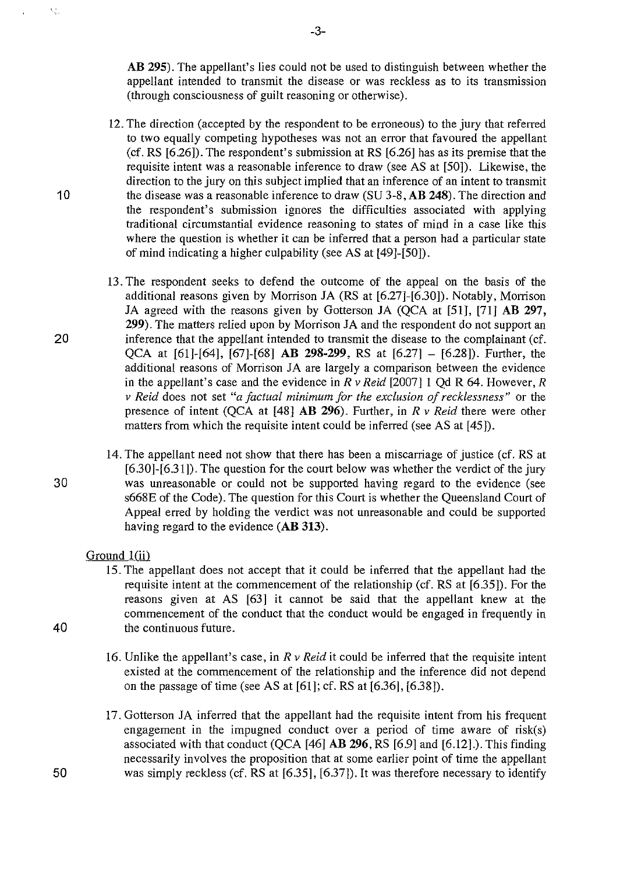**AB 295).** The appellant's lies could not be used to distinguish between whether the appellant intended to transmit the disease or was reckless as to its transmission (through consciousness of guilt reasoning or otherwise).

- 12. The direction (accepted by the respondent to be erroneous) to the jury that referred to two equally competing hypotheses was not an error that favoured the appellant (cf. RS [6.26]). The respondent's submission at RS [6.26] has as its premise that the requisite intent was a reasonable inference to draw (see AS at [50]). Likewise, the direction to the jury on this subject implied that an inference of an intent to transmit 10 the disease was a reasonable inference to draw (SU 3-8, **AB 248).** The direction and the respondent's submission ignores the difficulties associated with applying traditional circumstantial evidence reasoning to states of mind in a case like this where the question is whether it can be inferred that a person had a particular state of mind indicating a higher culpability (see AS at [49]-[50]).
- 13. The respondent seeks to defend the outcome of the appeal on the basis of the additional reasons given by Morrison JA (RS at [6.27]-[6.30]). Notably, Morrison JA agreed with the reasons given by Gotterson JA (QCA at [51], [71] **AB 297, 299).** The matters relied upon by Morrison JA and the respondent do not support an 20 inference that the appellant intended to transmit the disease to the complainant (cf. QCA at [61]-[64], [67]-[68] **AB 298-299,** RS at [6.27] - [6.28]). Further, the additional reasons of Morrison JA are largely a comparison between the evidence in the appellant's case and the evidence in *R v Reid* [2007]1 Qd R 64. However, *R v Reid* does not set *"a factual minimum for the exclusion of recklessness"* or the presence of intent (QCA at [48] **AB 296).** Further, in *R v Reid* there were other matters from which the requisite intent could be inferred (see AS at [45]).
- 14. The appellant need not show that there has been a miscarriage of justice (cf. RS at [6.30]-[6.31]). The question for the court below was whether the verdict of the jury 30 was unreasonable or could not be supported having regard to the evidence (see s668E of the Code). The question for this Court is whether the Queensland Court of Appeal erred by holding the verdict was not unreasonable and could be supported having regard to the evidence **(AB 313).**

#### Ground 1(ii)

- 15. The appellant does not accept that it could be inferred that the appellant had the requisite intent at the commencement of the relationship (cf. RS at [6.35]). For the reasons given at AS [63] it cannot be said that the appellant knew at the commencement of the conduct that the conduct would be engaged in frequently in 40 the continuous future.
	- 16. Unlike the appellant's case, in *R v Reid* it could be inferred that the requisite intent existed at the commencement of the relationship and the inference did not depend on the passage of time (see AS at [61]; cf. RS at [6.36], [6.38]).
- 17. Gotterson JA inferred that the appellant had the requisite intent from his frequent engagement in the impugned conduct over a period of time aware of risk(s) associated with that conduct (QCA [46] **AB 296,** RS [6.9] and [6.12].). This finding necessarily involves the proposition that at some earlier point of time the appellant 50 was simply reckless (cf. RS at [6.35], [6.37]). It was therefore necessary to identify

 $\mathbf{t}_{\text{c}}\frac{\partial}{\partial x}$